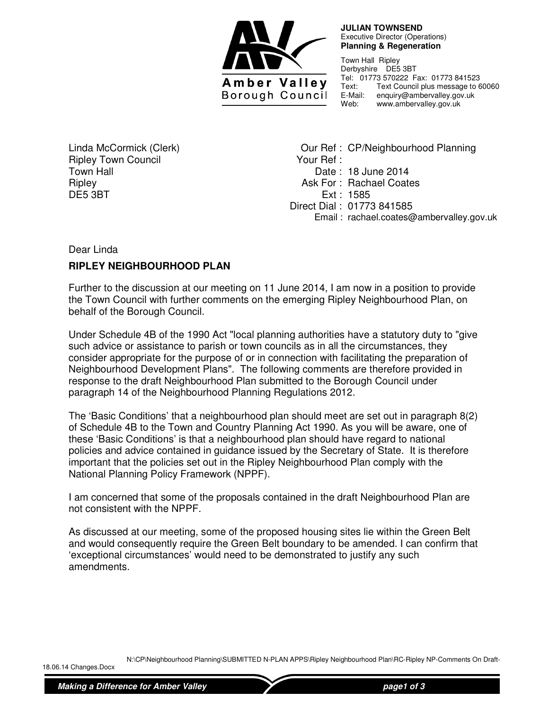

 **JULIAN TOWNSEND**  Executive Director (Operations) **Planning & Regeneration** 

Town Hall Ripley Derbyshire DE5 3BT Tel: 01773 570222 Fax: 01773 841523 Text: Text Council plus message to 60060 E-Mail: enquiry@ambervalley.gov.uk<br>Web: www.ambervalley.gov.uk Web: www.ambervalley.gov.uk

Linda McCormick (Clerk) Ripley Town Council Town Hall **Ripley** DE5 3BT

Our Ref : CP/Neighbourhood Planning Your Ref : Date : 18 June 2014 Ask For : Rachael Coates Ext : 1585 Direct Dial : 01773 841585 Email : rachael.coates@ambervalley.gov.uk

## Dear Linda

## **RIPLEY NEIGHBOURHOOD PLAN**

Further to the discussion at our meeting on 11 June 2014, I am now in a position to provide the Town Council with further comments on the emerging Ripley Neighbourhood Plan, on behalf of the Borough Council.

Under Schedule 4B of the 1990 Act "local planning authorities have a statutory duty to "give such advice or assistance to parish or town councils as in all the circumstances, they consider appropriate for the purpose of or in connection with facilitating the preparation of Neighbourhood Development Plans". The following comments are therefore provided in response to the draft Neighbourhood Plan submitted to the Borough Council under paragraph 14 of the Neighbourhood Planning Regulations 2012.

The 'Basic Conditions' that a neighbourhood plan should meet are set out in paragraph 8(2) of Schedule 4B to the Town and Country Planning Act 1990. As you will be aware, one of these 'Basic Conditions' is that a neighbourhood plan should have regard to national policies and advice contained in guidance issued by the Secretary of State. It is therefore important that the policies set out in the Ripley Neighbourhood Plan comply with the National Planning Policy Framework (NPPF).

I am concerned that some of the proposals contained in the draft Neighbourhood Plan are not consistent with the NPPF.

As discussed at our meeting, some of the proposed housing sites lie within the Green Belt and would consequently require the Green Belt boundary to be amended. I can confirm that 'exceptional circumstances' would need to be demonstrated to justify any such amendments.

N:\CP\Neighbourhood Planning\SUBMITTED N-PLAN APPS\Ripley Neighbourhood Plan\RC-Ripley NP-Comments On Draft-

18.06.14 Changes.Docx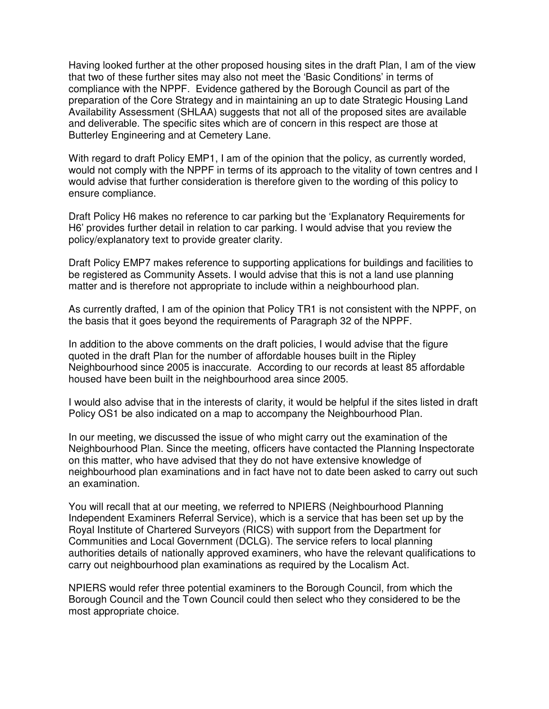Having looked further at the other proposed housing sites in the draft Plan, I am of the view that two of these further sites may also not meet the 'Basic Conditions' in terms of compliance with the NPPF. Evidence gathered by the Borough Council as part of the preparation of the Core Strategy and in maintaining an up to date Strategic Housing Land Availability Assessment (SHLAA) suggests that not all of the proposed sites are available and deliverable. The specific sites which are of concern in this respect are those at Butterley Engineering and at Cemetery Lane.

With regard to draft Policy EMP1, I am of the opinion that the policy, as currently worded, would not comply with the NPPF in terms of its approach to the vitality of town centres and I would advise that further consideration is therefore given to the wording of this policy to ensure compliance.

Draft Policy H6 makes no reference to car parking but the 'Explanatory Requirements for H6' provides further detail in relation to car parking. I would advise that you review the policy/explanatory text to provide greater clarity.

Draft Policy EMP7 makes reference to supporting applications for buildings and facilities to be registered as Community Assets. I would advise that this is not a land use planning matter and is therefore not appropriate to include within a neighbourhood plan.

As currently drafted, I am of the opinion that Policy TR1 is not consistent with the NPPF, on the basis that it goes beyond the requirements of Paragraph 32 of the NPPF.

In addition to the above comments on the draft policies, I would advise that the figure quoted in the draft Plan for the number of affordable houses built in the Ripley Neighbourhood since 2005 is inaccurate. According to our records at least 85 affordable housed have been built in the neighbourhood area since 2005.

I would also advise that in the interests of clarity, it would be helpful if the sites listed in draft Policy OS1 be also indicated on a map to accompany the Neighbourhood Plan.

In our meeting, we discussed the issue of who might carry out the examination of the Neighbourhood Plan. Since the meeting, officers have contacted the Planning Inspectorate on this matter, who have advised that they do not have extensive knowledge of neighbourhood plan examinations and in fact have not to date been asked to carry out such an examination.

You will recall that at our meeting, we referred to NPIERS (Neighbourhood Planning Independent Examiners Referral Service), which is a service that has been set up by the Royal Institute of Chartered Surveyors (RICS) with support from the Department for Communities and Local Government (DCLG). The service refers to local planning authorities details of nationally approved examiners, who have the relevant qualifications to carry out neighbourhood plan examinations as required by the Localism Act.

NPIERS would refer three potential examiners to the Borough Council, from which the Borough Council and the Town Council could then select who they considered to be the most appropriate choice.